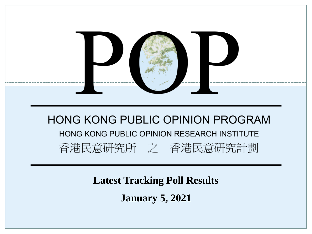

**Latest Tracking Poll Results**

**January 5, 2021**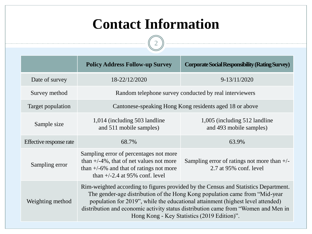#### **Contact Information**

 $\overline{2}$ 

. . . . . . . . . .

|                         | <b>Policy Address Follow-up Survey</b>                                                                                                                                                                                                                                                                                                                                                     | <b>Corporate Social Responsibility (Rating Survey)</b>                  |  |
|-------------------------|--------------------------------------------------------------------------------------------------------------------------------------------------------------------------------------------------------------------------------------------------------------------------------------------------------------------------------------------------------------------------------------------|-------------------------------------------------------------------------|--|
| Date of survey          | 18-22/12/2020                                                                                                                                                                                                                                                                                                                                                                              | $9 - 13/11/2020$                                                        |  |
| Survey method           |                                                                                                                                                                                                                                                                                                                                                                                            | Random telephone survey conducted by real interviewers                  |  |
| Target population       |                                                                                                                                                                                                                                                                                                                                                                                            | Cantonese-speaking Hong Kong residents aged 18 or above                 |  |
| Sample size             | 1,014 (including 503 landline)<br>and 511 mobile samples)                                                                                                                                                                                                                                                                                                                                  | 1,005 (including 512 landline)<br>and 493 mobile samples)               |  |
| Effective response rate | 68.7%                                                                                                                                                                                                                                                                                                                                                                                      | 63.9%                                                                   |  |
| Sampling error          | Sampling error of percentages not more<br>than $+/-4\%$ , that of net values not more<br>than $+/-6\%$ and that of ratings not more<br>than $+/-2.4$ at 95% conf. level                                                                                                                                                                                                                    | Sampling error of ratings not more than $+/-$<br>2.7 at 95% conf. level |  |
| Weighting method        | Rim-weighted according to figures provided by the Census and Statistics Department.<br>The gender-age distribution of the Hong Kong population came from "Mid-year<br>population for 2019", while the educational attainment (highest level attended)<br>distribution and economic activity status distribution came from "Women and Men in<br>Hong Kong - Key Statistics (2019 Edition)". |                                                                         |  |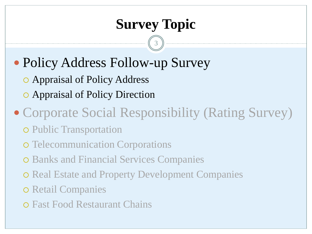## **Survey Topic**

3

• Policy Address Follow-up Survey

Appraisal of Policy Address

Appraisal of Policy Direction

• Corporate Social Responsibility (Rating Survey)

Public Transportation

Telecommunication Corporations

Banks and Financial Services Companies

**o Real Estate and Property Development Companies** 

o Retail Companies

Fast Food Restaurant Chains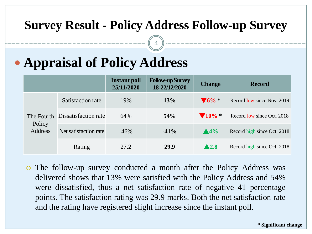#### **Survey Result - Policy Address Follow-up Survey**

4

# **Appraisal of Policy Address**

|                   |                       | <b>Instant poll</b><br>25/11/2020 | <b>Follow-up Survey</b><br>18-22/12/2020 | <b>Change</b>               | <b>Record</b>               |
|-------------------|-----------------------|-----------------------------------|------------------------------------------|-----------------------------|-----------------------------|
|                   | Satisfaction rate     | 19%                               | 13%                                      | $\blacktriangledown_6\%$    | Record low since Nov. 2019  |
| The Fourth        | Dissatisfaction rate  | 64%                               | 54%                                      | $\blacktriangledown 10\%$ * | Record low since Oct. 2018  |
| Policy<br>Address | Net satisfaction rate | $-46%$                            | $-41\%$                                  | $\blacktriangle 4\%$        | Record high since Oct. 2018 |
|                   | Rating                | 27.2                              | <b>29.9</b>                              | $\blacktriangle$ 2.8        | Record high since Oct. 2018 |

 The follow-up survey conducted a month after the Policy Address was delivered shows that 13% were satisfied with the Policy Address and 54% were dissatisfied, thus a net satisfaction rate of negative 41 percentage points. The satisfaction rating was 29.9 marks. Both the net satisfaction rate and the rating have registered slight increase since the instant poll.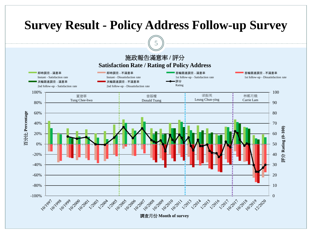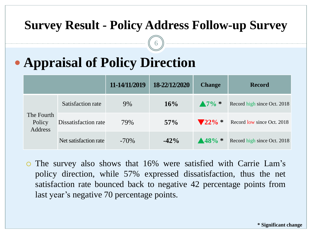#### **Survey Result - Policy Address Follow-up Survey**

6

# **Appraisal of Policy Direction**

|                                 |                       | 11-14/11/2019 | 18-22/12/2020 | <b>Change</b>               | <b>Record</b>               |
|---------------------------------|-----------------------|---------------|---------------|-----------------------------|-----------------------------|
|                                 | Satisfaction rate     | 9%            | 16%           | $\triangle 7\%$ *           | Record high since Oct. 2018 |
| The Fourth<br>Policy<br>Address | Dissatisfaction rate  | 79%           | 57%           | $\blacktriangledown 22\% *$ | Record low since Oct. 2018  |
|                                 | Net satisfaction rate | $-70\%$       | $-42\%$       | $\triangle$ 48% $*$         | Record high since Oct. 2018 |

 The survey also shows that 16% were satisfied with Carrie Lam's policy direction, while 57% expressed dissatisfaction, thus the net satisfaction rate bounced back to negative 42 percentage points from last year's negative 70 percentage points.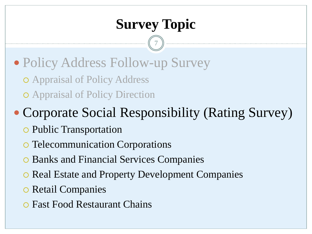# **Survey Topic**

7

- Policy Address Follow-up Survey
	- Appraisal of Policy Address
	- Appraisal of Policy Direction

## • Corporate Social Responsibility (Rating Survey)

- Public Transportation
- **o** Telecommunication Corporations
- Banks and Financial Services Companies
- Real Estate and Property Development Companies
- o Retail Companies
- Fast Food Restaurant Chains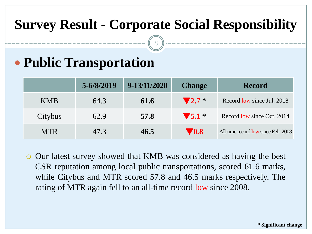8

#### **Public Transportation**

|            | 5-6/8/2019 | 9-13/11/2020 | <b>Change</b>              | <b>Record</b>                       |
|------------|------------|--------------|----------------------------|-------------------------------------|
| <b>KMB</b> | 64.3       | 61.6         | $\blacktriangledown 2.7$ * | Record low since Jul. 2018          |
| Citybus    | 62.9       | 57.8         | $\sqrt{5.1} *$             | Record low since Oct. 2014          |
| <b>MTR</b> | 47.3       | 46.5         | $\blacktriangledown 0.8$   | All-time record low since Feb. 2008 |

 Our latest survey showed that KMB was considered as having the best CSR reputation among local public transportations, scored 61.6 marks, while Citybus and MTR scored 57.8 and 46.5 marks respectively. The rating of MTR again fell to an all-time record low since 2008.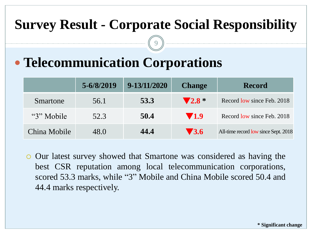9

# **Telecommunication Corporations**

|              | 5-6/8/2019 | 9-13/11/2020 | <b>Change</b>            | <b>Record</b>                        |
|--------------|------------|--------------|--------------------------|--------------------------------------|
| Smartone     | 56.1       | 53.3         | $\mathbf{V}2.8^*$        | Record low since Feb. 2018           |
| "3" Mobile   | 52.3       | 50.4         | $\sqrt{1.9}$             | Record low since Feb. 2018           |
| China Mobile | 48.0       | 44.4         | $\blacktriangledown$ 3.6 | All-time record low since Sept. 2018 |

 Our latest survey showed that Smartone was considered as having the best CSR reputation among local telecommunication corporations, scored 53.3 marks, while "3" Mobile and China Mobile scored 50.4 and 44.4 marks respectively.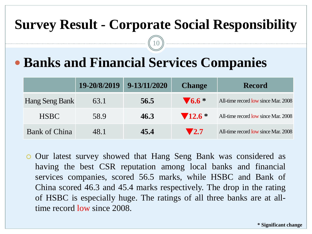10

#### **Banks and Financial Services Companies**

|                      | 19-20/8/2019 | 9-13/11/2020 | <b>Change</b>            | <b>Record</b>                       |
|----------------------|--------------|--------------|--------------------------|-------------------------------------|
| Hang Seng Bank       | 63.1         | 56.5         | $\sqrt{6.6}$ *           | All-time record low since Mar. 2008 |
| <b>HSBC</b>          | 58.9         | 46.3         | $\sqrt{12.6}$ *          | All-time record low since Mar. 2008 |
| <b>Bank of China</b> | 48.1         | 45.4         | $\blacktriangledown$ 2.7 | All-time record low since Mar. 2008 |

 Our latest survey showed that Hang Seng Bank was considered as having the best CSR reputation among local banks and financial services companies, scored 56.5 marks, while HSBC and Bank of China scored 46.3 and 45.4 marks respectively. The drop in the rating of HSBC is especially huge. The ratings of all three banks are at alltime record low since 2008.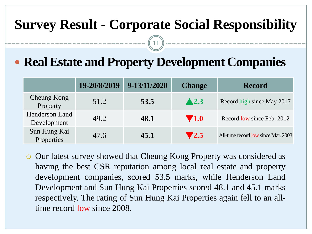11

#### **Real Estate and Property Development Companies**

|                                      | 19-20/8/2019 | 9-13/11/2020 | <b>Change</b>            | <b>Record</b>                       |
|--------------------------------------|--------------|--------------|--------------------------|-------------------------------------|
| Cheung Kong<br>Property              | 51.2         | 53.5         | $\blacktriangle$ 2.3     | Record high since May 2017          |
| <b>Henderson Land</b><br>Development | 49.2         | 48.1         | $\blacktriangledown$ 1.0 | Record low since Feb. 2012          |
| Sun Hung Kai<br>Properties           | 47.6         | 45.1         | $\blacktriangledown$ 2.5 | All-time record low since Mar. 2008 |

 Our latest survey showed that Cheung Kong Property was considered as having the best CSR reputation among local real estate and property development companies, scored 53.5 marks, while Henderson Land Development and Sun Hung Kai Properties scored 48.1 and 45.1 marks respectively. The rating of Sun Hung Kai Properties again fell to an alltime record low since 2008.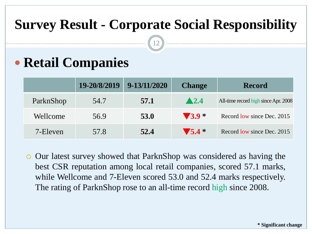12

## **Retail Companies**

|           | 19-20/8/2019 | 9-13/11/2020 | <b>Change</b>                | <b>Record</b>                        |
|-----------|--------------|--------------|------------------------------|--------------------------------------|
| ParknShop | 54.7         | 57.1         | $\triangle$ 2.4              | All-time record high since Apr. 2008 |
| Wellcome  | 56.9         | 53.0         | $\blacktriangledown$ 3.9 $*$ | Record low since Dec. 2015           |
| 7-Eleven  | 57.8         | 52.4         | $\sqrt{5.4} *$               | Record low since Dec. 2015           |

 Our latest survey showed that ParknShop was considered as having the best CSR reputation among local retail companies, scored 57.1 marks, while Wellcome and 7-Eleven scored 53.0 and 52.4 marks respectively. The rating of ParknShop rose to an all-time record high since 2008.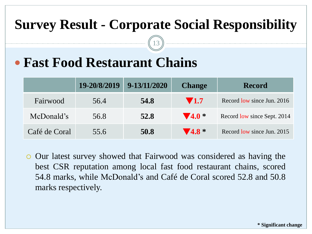13

#### **Fast Food Restaurant Chains**

|               | 19-20/8/2019 | 9-13/11/2020 | <b>Change</b>                 | <b>Record</b>               |
|---------------|--------------|--------------|-------------------------------|-----------------------------|
| Fairwood      | 56.4         | 54.8         | $\blacktriangledown$ 1.7      | Record low since Jun. 2016  |
| McDonald's    | 56.8         | 52.8         | $\blacktriangledown$ 4.0 $^*$ | Record low since Sept. 2014 |
| Café de Coral | 55.6         | 50.8         | $74.8*$                       | Record low since Jun. 2015  |

 Our latest survey showed that Fairwood was considered as having the best CSR reputation among local fast food restaurant chains, scored 54.8 marks, while McDonald's and Café de Coral scored 52.8 and 50.8 marks respectively.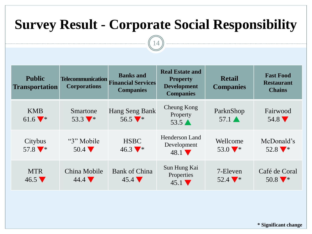14

| <b>Public</b><br><b>Transportation</b>    | <b>Telecommunication</b><br><b>Corporations</b> | <b>Banks</b> and<br><b>Financial Services</b><br><b>Companies</b> | <b>Real Estate and</b><br><b>Property</b><br><b>Development</b><br><b>Companies</b> | <b>Retail</b><br><b>Companies</b>       | <b>Fast Food</b><br><b>Restaurant</b><br><b>Chains</b> |
|-------------------------------------------|-------------------------------------------------|-------------------------------------------------------------------|-------------------------------------------------------------------------------------|-----------------------------------------|--------------------------------------------------------|
| <b>KMB</b><br>$61.6 \blacktriangledown^*$ | Smartone<br>53.3 $\blacktriangledown$ *         | Hang Seng Bank<br>56.5 $\blacktriangledown$ *                     | Cheung Kong<br>Property<br>$53.5$ $\triangle$                                       | ParknShop<br>$57.1 \triangle$           | Fairwood<br>$54.8$ $\blacktriangledown$                |
| Citybus<br>$57.8$ *                       | "3" Mobile<br>$50.4$ $\blacktriangledown$       | <b>HSBC</b><br>$46.3 \blacktriangledown^*$                        | <b>Henderson Land</b><br>Development<br>48.1                                        | Wellcome<br>$53.0 \blacktriangledown^*$ | McDonald's<br>$52.8 \blacktriangledown$ *              |
| <b>MTR</b><br>$46.5 \blacktriangledown$   | China Mobile<br>44.4                            | <b>Bank of China</b><br>45.4                                      | Sun Hung Kai<br>Properties<br>45.1                                                  | 7-Eleven<br>$52.4 \blacktriangledown^*$ | Café de Coral<br>$50.8 \, \blacktriangledown$ *        |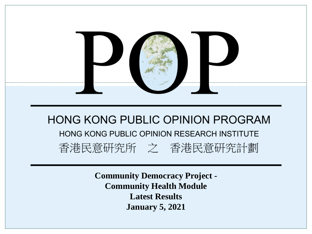

**Community Democracy Project - Community Health Module Latest Results January 5, 2021**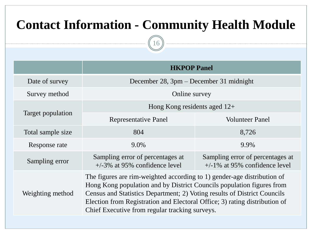#### **Contact Information - Community Health Module**

16

|                   | <b>HKPOP Panel</b>                                                                                                                                                                                                                                                                                                                                           |                                                                      |  |
|-------------------|--------------------------------------------------------------------------------------------------------------------------------------------------------------------------------------------------------------------------------------------------------------------------------------------------------------------------------------------------------------|----------------------------------------------------------------------|--|
| Date of survey    | December 28, 3pm – December 31 midnight                                                                                                                                                                                                                                                                                                                      |                                                                      |  |
| Survey method     | Online survey                                                                                                                                                                                                                                                                                                                                                |                                                                      |  |
|                   | Hong Kong residents aged $12+$                                                                                                                                                                                                                                                                                                                               |                                                                      |  |
| Target population | <b>Representative Panel</b>                                                                                                                                                                                                                                                                                                                                  | <b>Volunteer Panel</b>                                               |  |
| Total sample size | 804                                                                                                                                                                                                                                                                                                                                                          | 8,726                                                                |  |
| Response rate     | 9.0%                                                                                                                                                                                                                                                                                                                                                         | 9.9%                                                                 |  |
| Sampling error    | Sampling error of percentages at<br>$+/-3\%$ at 95% confidence level                                                                                                                                                                                                                                                                                         | Sampling error of percentages at<br>$+/-1\%$ at 95% confidence level |  |
| Weighting method  | The figures are rim-weighted according to 1) gender-age distribution of<br>Hong Kong population and by District Councils population figures from<br>Census and Statistics Department; 2) Voting results of District Councils<br>Election from Registration and Electoral Office; 3) rating distribution of<br>Chief Executive from regular tracking surveys. |                                                                      |  |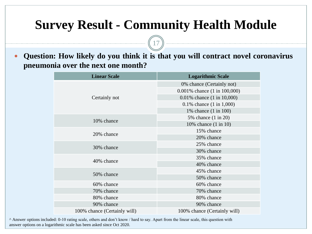#### **Survey Result - Community Health Module**

17

 **Question: How likely do you think it is that you will contract novel coronavirus pneumonia over the next one month?**

| <b>Linear Scale</b>          | <b>Logarithmic Scale</b>                 |
|------------------------------|------------------------------------------|
|                              | 0% chance (Certainly not)                |
|                              | 0.001\% chance (1 in 100,000)            |
| Certainly not                | $0.01\%$ chance $(1 \text{ in } 10,000)$ |
|                              | $0.1\%$ chance $(1 \text{ in } 1,000)$   |
|                              | 1% chance (1 in 100)                     |
|                              | 5% chance (1 in 20)                      |
| 10% chance                   | 10% chance (1 in 10)                     |
| 20% chance                   | 15% chance                               |
|                              | 20% chance                               |
| 30% chance                   | 25% chance                               |
|                              | 30% chance                               |
| 40% chance                   | 35% chance                               |
|                              | 40% chance                               |
| 50% chance                   | 45% chance                               |
|                              | 50% chance                               |
| 60% chance                   | 60% chance                               |
| 70% chance                   | 70% chance                               |
| 80% chance                   | 80% chance                               |
| 90% chance                   | 90% chance                               |
| 100% chance (Certainly will) | 100% chance (Certainly will)             |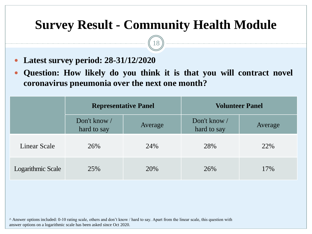#### **Survey Result - Community Health Module**

18

- **Latest survey period: 28-31/12/2020**
- **Question: How likely do you think it is that you will contract novel coronavirus pneumonia over the next one month?**

|                   | <b>Representative Panel</b> |         | <b>Volunteer Panel</b>      |         |  |  |  |
|-------------------|-----------------------------|---------|-----------------------------|---------|--|--|--|
|                   | Don't know /<br>hard to say | Average | Don't know /<br>hard to say | Average |  |  |  |
| Linear Scale      | 26%                         | 24%     | 28%                         | 22%     |  |  |  |
| Logarithmic Scale | 25%                         | 20%     | 26%                         | 17%     |  |  |  |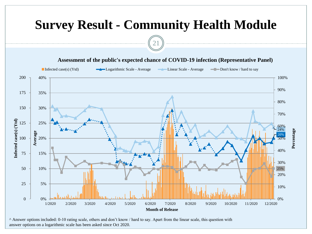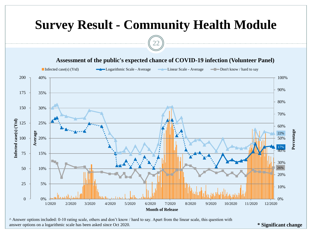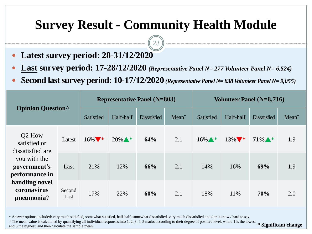#### **Survey Result - Community Health Module**

23

- **Latest survey period: 28-31/12/2020**
- **Last survey period: 17-28/12/2020** *(Representative Panel N= 277 Volunteer Panel N= 6,524)*
- Second last survey period:  $10-17/12/2020$  (Representative Panel N= 838 Volunteer Panel N= 9,055)

| <b>Opinion Question</b>                                                                                                                                 |                |           |                     | <b>Representative Panel (N=803)</b> |           | Volunteer Panel $(N=8,716)$ |                               |                  |     |  |  |  |
|---------------------------------------------------------------------------------------------------------------------------------------------------------|----------------|-----------|---------------------|-------------------------------------|-----------|-----------------------------|-------------------------------|------------------|-----|--|--|--|
|                                                                                                                                                         | Satisfied      | Half-half | <b>Dissatisfied</b> | $Mean^{\dagger}$                    | Satisfied | Half-half                   | <b>Dissatisfied</b>           | $Mean^{\dagger}$ |     |  |  |  |
| Q <sub>2</sub> How<br>satisfied or<br>dissatisfied are<br>you with the<br>government's<br>performance in<br>handling novel<br>coronavirus<br>pneumonia? | Latest         | $16\%$ *  | $20\%$ *            | 64%                                 | 2.1       | $16\%$ *                    | $13\%$ $\blacktriangledown$ * | $71\%$ *         | 1.9 |  |  |  |
|                                                                                                                                                         | Last           | 21%       | 12%                 | 66%                                 | 2.1       | 14%                         | 16%                           | 69%              | 1.9 |  |  |  |
|                                                                                                                                                         | Second<br>Last | 17%       | 22%                 | 60%                                 | 2.1       | 18%                         | 11%                           | 70%              | 2.0 |  |  |  |

^ Answer options included: very much satisfied, somewhat satisfied, half-half, somewhat dissatisfied, very much dissatisfied and don't know / hard to say

 $\dagger$  The mean value is calculated by quantifying all individual responses into 1, 2, 3, 4, 5 marks according to their degree of positive level, where 1 is the lowest  $\ast$  Significant change and 5 the highest, and then calculate the sample mean.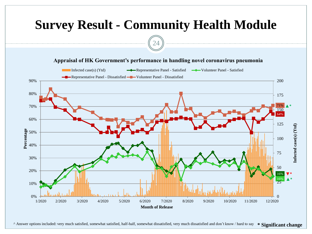

^ Answer options included: very much satisfied, somewhat satisfied, half-half, somewhat dissatisfied, very much dissatisfied and don't know / hard to say **\* Significant change**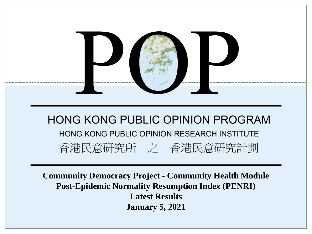

**Community Democracy Project - Community Health Module Post-Epidemic Normality Resumption Index (PENRI) Latest Results January 5, 2021**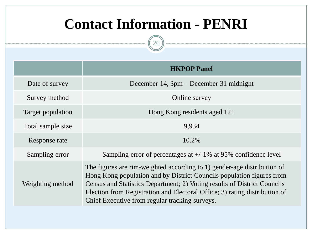## **Contact Information - PENRI**



|                   | <b>HKPOP Panel</b>                                                                                                                                                                                                                                                                                                                                           |
|-------------------|--------------------------------------------------------------------------------------------------------------------------------------------------------------------------------------------------------------------------------------------------------------------------------------------------------------------------------------------------------------|
| Date of survey    | December 14, 3pm – December 31 midnight                                                                                                                                                                                                                                                                                                                      |
| Survey method     | Online survey                                                                                                                                                                                                                                                                                                                                                |
| Target population | Hong Kong residents aged $12+$                                                                                                                                                                                                                                                                                                                               |
| Total sample size | 9,934                                                                                                                                                                                                                                                                                                                                                        |
| Response rate     | 10.2%                                                                                                                                                                                                                                                                                                                                                        |
| Sampling error    | Sampling error of percentages at $+/-1\%$ at 95% confidence level                                                                                                                                                                                                                                                                                            |
| Weighting method  | The figures are rim-weighted according to 1) gender-age distribution of<br>Hong Kong population and by District Councils population figures from<br>Census and Statistics Department; 2) Voting results of District Councils<br>Election from Registration and Electoral Office; 3) rating distribution of<br>Chief Executive from regular tracking surveys. |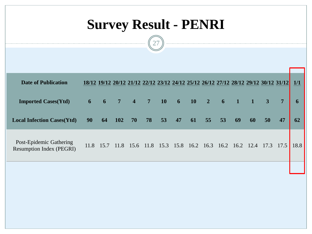## **Survey Result - PENRI**

 $27$ 

| <b>Date of Publication</b>                                 |    |           |            | 18/12 19/12 20/12 21/12 22/12 23/12 24/12 25/12 26/12 27/12 28/12 29/12 30/12 31/12 |                |                       |    |    |                |    |                  |                |                |                | 1/1  |
|------------------------------------------------------------|----|-----------|------------|-------------------------------------------------------------------------------------|----------------|-----------------------|----|----|----------------|----|------------------|----------------|----------------|----------------|------|
| <b>Imported Cases(Ytd)</b>                                 | 6  | 6         | $\sqrt{7}$ | $\overline{\mathbf{4}}$                                                             | $\overline{7}$ | $10\qquad 6\qquad 10$ |    |    | $\overline{2}$ | 6  | $\blacksquare$   | $\blacksquare$ | $\overline{3}$ | $\overline{7}$ | 6    |
| <b>Local Infection Cases(Ytd)</b>                          | 90 | 64        | <b>102</b> | 70                                                                                  | 78             | 53                    | 47 | 61 | 55             | 53 | 69               | 60             | 50             | 47             | 62   |
| Post-Epidemic Gathering<br><b>Resumption Index (PEGRI)</b> |    | 11.8 15.7 |            | 11.8 15.6 11.8 15.3 15.8 16.2 16.3                                                  |                |                       |    |    |                |    | $16.2$ 16.2 12.4 |                | 17.3           | 17.5           | 18.8 |
|                                                            |    |           |            |                                                                                     |                |                       |    |    |                |    |                  |                |                |                |      |
|                                                            |    |           |            |                                                                                     |                |                       |    |    |                |    |                  |                |                |                |      |
|                                                            |    |           |            |                                                                                     |                |                       |    |    |                |    |                  |                |                |                |      |